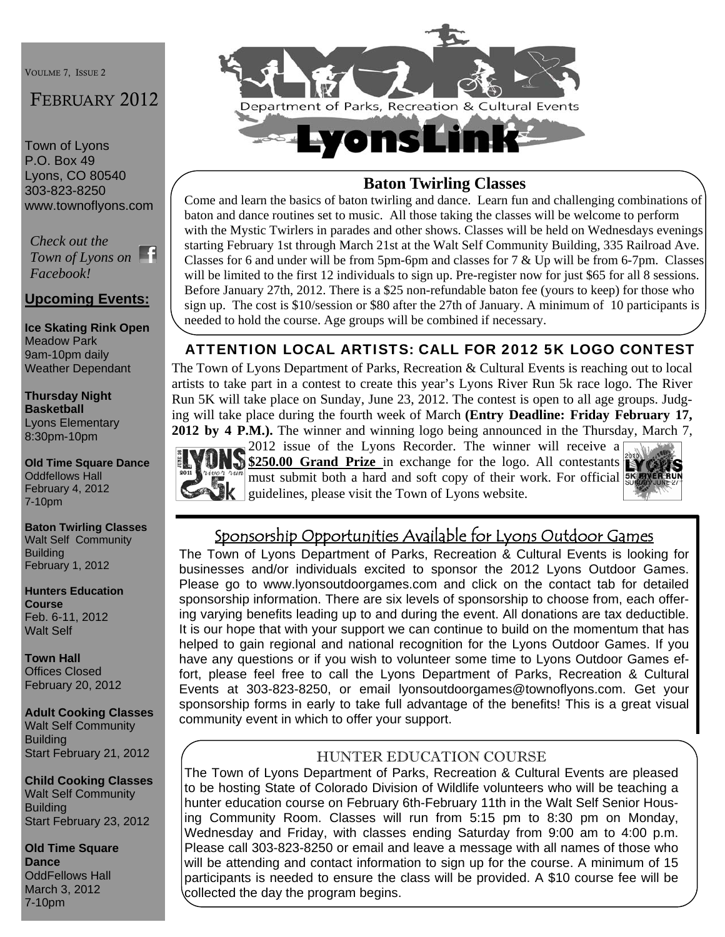VOULME 7, ISSUE 2

# FEBRUARY 2012

Town of Lyons P.O. Box 49 Lyons, CO 80540 303-823-8250 www.townoflyons.com

*Check out the Town of Lyons on Facebook!* 

## **Upcoming Events:**

**Ice Skating Rink Open**  Meadow Park 9am-10pm daily Weather Dependant

**Thursday Night Basketball**  Lyons Elementary 8:30pm-10pm

**Old Time Square Dance**  Oddfellows Hall February 4, 2012 7-10pm

**Baton Twirling Classes**  Walt Self Community **Building** February 1, 2012

**Hunters Education Course**  Feb. 6-11, 2012 Walt Self

**Town Hall**  Offices Closed February 20, 2012

**Adult Cooking Classes**  Walt Self Community **Building** Start February 21, 2012

**Child Cooking Classes**  Walt Self Community Building Start February 23, 2012

**Old Time Square Dance**  OddFellows Hall March 3, 2012 7-10pm



## **Baton Twirling Classes**

Come and learn the basics of baton twirling and dance. Learn fun and challenging combinations of baton and dance routines set to music. All those taking the classes will be welcome to perform with the Mystic Twirlers in parades and other shows. Classes will be held on Wednesdays evenings starting February 1st through March 21st at the Walt Self Community Building, 335 Railroad Ave. Classes for 6 and under will be from 5pm-6pm and classes for 7 & Up will be from 6-7pm. Classes will be limited to the first 12 individuals to sign up. Pre-register now for just \$65 for all 8 sessions. Before January 27th, 2012. There is a \$25 non-refundable baton fee (yours to keep) for those who sign up. The cost is \$10/session or \$80 after the 27th of January. A minimum of 10 participants is needed to hold the course. Age groups will be combined if necessary.

# ATTENTION LOCAL ARTISTS: CALL FOR 2012 5K LOGO CONTEST

The Town of Lyons Department of Parks, Recreation & Cultural Events is reaching out to local artists to take part in a contest to create this year's Lyons River Run 5k race logo. The River Run 5K will take place on Sunday, June 23, 2012. The contest is open to all age groups. Judging will take place during the fourth week of March **(Entry Deadline: Friday February 17, 2012 by 4 P.M.).** The winner and winning logo being announced in the Thursday, March 7,



 $\overline{2012}$  issue of the Lyons Recorder. The winner will receive a \$250.00 Grand Prize in exchange for the logo. All contestants must submit both a hard and soft copy of their work. For official  $\mathbf{g}$  guidelines, please visit the Town of Lyons website.



# Sponsorship Opportunities Available for Lyons Outdoor Games

The Town of Lyons Department of Parks, Recreation & Cultural Events is looking for businesses and/or individuals excited to sponsor the 2012 Lyons Outdoor Games. Please go to www.lyonsoutdoorgames.com and click on the contact tab for detailed sponsorship information. There are six levels of sponsorship to choose from, each offering varying benefits leading up to and during the event. All donations are tax deductible. It is our hope that with your support we can continue to build on the momentum that has helped to gain regional and national recognition for the Lyons Outdoor Games. If you have any questions or if you wish to volunteer some time to Lyons Outdoor Games effort, please feel free to call the Lyons Department of Parks, Recreation & Cultural Events at 303-823-8250, or email lyonsoutdoorgames@townoflyons.com. Get your sponsorship forms in early to take full advantage of the benefits! This is a great visual community event in which to offer your support.

### HUNTER EDUCATION COURSE

The Town of Lyons Department of Parks, Recreation & Cultural Events are pleased to be hosting State of Colorado Division of Wildlife volunteers who will be teaching a hunter education course on February 6th-February 11th in the Walt Self Senior Housing Community Room. Classes will run from 5:15 pm to 8:30 pm on Monday, Wednesday and Friday, with classes ending Saturday from 9:00 am to 4:00 p.m. Please call 303-823-8250 or email and leave a message with all names of those who will be attending and contact information to sign up for the course. A minimum of 15 participants is needed to ensure the class will be provided. A \$10 course fee will be collected the day the program begins.